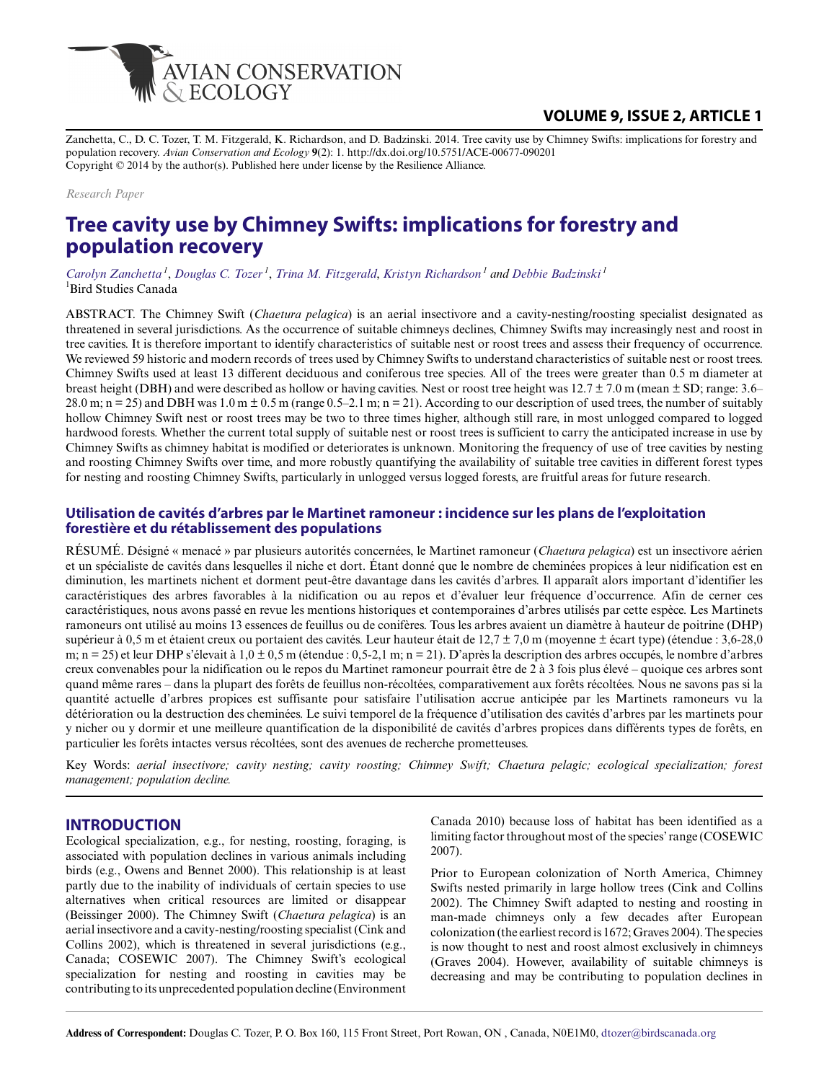

## **VOLUME 9, ISSUE 2, ARTICLE 1**

Zanchetta, C., D. C. Tozer, T. M. Fitzgerald, K. Richardson, and D. Badzinski. 2014. Tree cavity use by Chimney Swifts: implications for forestry and population recovery. *Avian Conservation and Ecology* **9**(2): 1. http://dx.doi.org/10.5751/ACE-00677-090201 Copyright © 2014 by the author(s). Published here under license by the Resilience Alliance.

#### *Research Paper*

# **Tree cavity use by Chimney Swifts: implications for forestry and population recovery**

*[Carolyn Zanchetta](mailto:carolyn.zanchetta@mail.utoronto.ca)<sup>1</sup>* , *[Douglas C. Tozer](mailto:dtozer@birdscanada.org)<sup>1</sup>* , *[Trina M. Fitzgerald](mailto:trina.fitzgerald@gmail.com)*, *[Kristyn Richardson](mailto:krichardson@birdscanada.org)<sup>1</sup> and [Debbie Badzinski](mailto:dbadzinski@birdscanada.org)<sup>1</sup>* <sup>1</sup>Bird Studies Canada

ABSTRACT. The Chimney Swift (*Chaetura pelagica*) is an aerial insectivore and a cavity-nesting/roosting specialist designated as threatened in several jurisdictions. As the occurrence of suitable chimneys declines, Chimney Swifts may increasingly nest and roost in tree cavities. It is therefore important to identify characteristics of suitable nest or roost trees and assess their frequency of occurrence. We reviewed 59 historic and modern records of trees used by Chimney Swifts to understand characteristics of suitable nest or roost trees. Chimney Swifts used at least 13 different deciduous and coniferous tree species. All of the trees were greater than 0.5 m diameter at breast height (DBH) and were described as hollow or having cavities. Nest or roost tree height was  $12.7 \pm 7.0$  m (mean  $\pm$  SD; range: 3.6– 28.0 m; n = 25) and DBH was 1.0 m  $\pm$  0.5 m (range 0.5–2.1 m; n = 21). According to our description of used trees, the number of suitably hollow Chimney Swift nest or roost trees may be two to three times higher, although still rare, in most unlogged compared to logged hardwood forests. Whether the current total supply of suitable nest or roost trees is sufficient to carry the anticipated increase in use by Chimney Swifts as chimney habitat is modified or deteriorates is unknown. Monitoring the frequency of use of tree cavities by nesting and roosting Chimney Swifts over time, and more robustly quantifying the availability of suitable tree cavities in different forest types for nesting and roosting Chimney Swifts, particularly in unlogged versus logged forests, are fruitful areas for future research.

#### **Utilisation de cavités d'arbres par le Martinet ramoneur : incidence sur les plans de l'exploitation forestière et du rétablissement des populations**

RÉSUMÉ. Désigné « menacé » par plusieurs autorités concernées, le Martinet ramoneur (*Chaetura pelagica*) est un insectivore aérien et un spécialiste de cavités dans lesquelles il niche et dort. Étant donné que le nombre de cheminées propices à leur nidification est en diminution, les martinets nichent et dorment peut-être davantage dans les cavités d'arbres. Il apparaît alors important d'identifier les caractéristiques des arbres favorables à la nidification ou au repos et d'évaluer leur fréquence d'occurrence. Afin de cerner ces caractéristiques, nous avons passé en revue les mentions historiques et contemporaines d'arbres utilisés par cette espèce. Les Martinets ramoneurs ont utilisé au moins 13 essences de feuillus ou de conifères. Tous les arbres avaient un diamètre à hauteur de poitrine (DHP) supérieur à 0,5 m et étaient creux ou portaient des cavités. Leur hauteur était de 12,7 ± 7,0 m (moyenne ± écart type) (étendue : 3,6-28,0 m; n = 25) et leur DHP s'élevait à 1,0 ± 0,5 m (étendue : 0,5-2,1 m; n = 21). D'après la description des arbres occupés, le nombre d'arbres creux convenables pour la nidification ou le repos du Martinet ramoneur pourrait être de 2 à 3 fois plus élevé – quoique ces arbres sont quand même rares – dans la plupart des forêts de feuillus non-récoltées, comparativement aux forêts récoltées. Nous ne savons pas si la quantité actuelle d'arbres propices est suffisante pour satisfaire l'utilisation accrue anticipée par les Martinets ramoneurs vu la détérioration ou la destruction des cheminées. Le suivi temporel de la fréquence d'utilisation des cavités d'arbres par les martinets pour y nicher ou y dormir et une meilleure quantification de la disponibilité de cavités d'arbres propices dans différents types de forêts, en particulier les forêts intactes versus récoltées, sont des avenues de recherche prometteuses.

Key Words: *aerial insectivore; cavity nesting; cavity roosting; Chimney Swift; Chaetura pelagic; ecological specialization; forest management; population decline.*

#### **INTRODUCTION**

Ecological specialization, e.g., for nesting, roosting, foraging, is associated with population declines in various animals including birds (e.g., Owens and Bennet 2000). This relationship is at least partly due to the inability of individuals of certain species to use alternatives when critical resources are limited or disappear (Beissinger 2000). The Chimney Swift (*Chaetura pelagica*) is an aerial insectivore and a cavity-nesting/roosting specialist (Cink and Collins 2002), which is threatened in several jurisdictions (e.g., Canada; COSEWIC 2007). The Chimney Swift's ecological specialization for nesting and roosting in cavities may be contributing to its unprecedented population decline (Environment

Canada 2010) because loss of habitat has been identified as a limiting factor throughout most of the species' range (COSEWIC 2007).

Prior to European colonization of North America, Chimney Swifts nested primarily in large hollow trees (Cink and Collins 2002). The Chimney Swift adapted to nesting and roosting in man-made chimneys only a few decades after European colonization (the earliest record is 1672; Graves 2004). The species is now thought to nest and roost almost exclusively in chimneys (Graves 2004). However, availability of suitable chimneys is decreasing and may be contributing to population declines in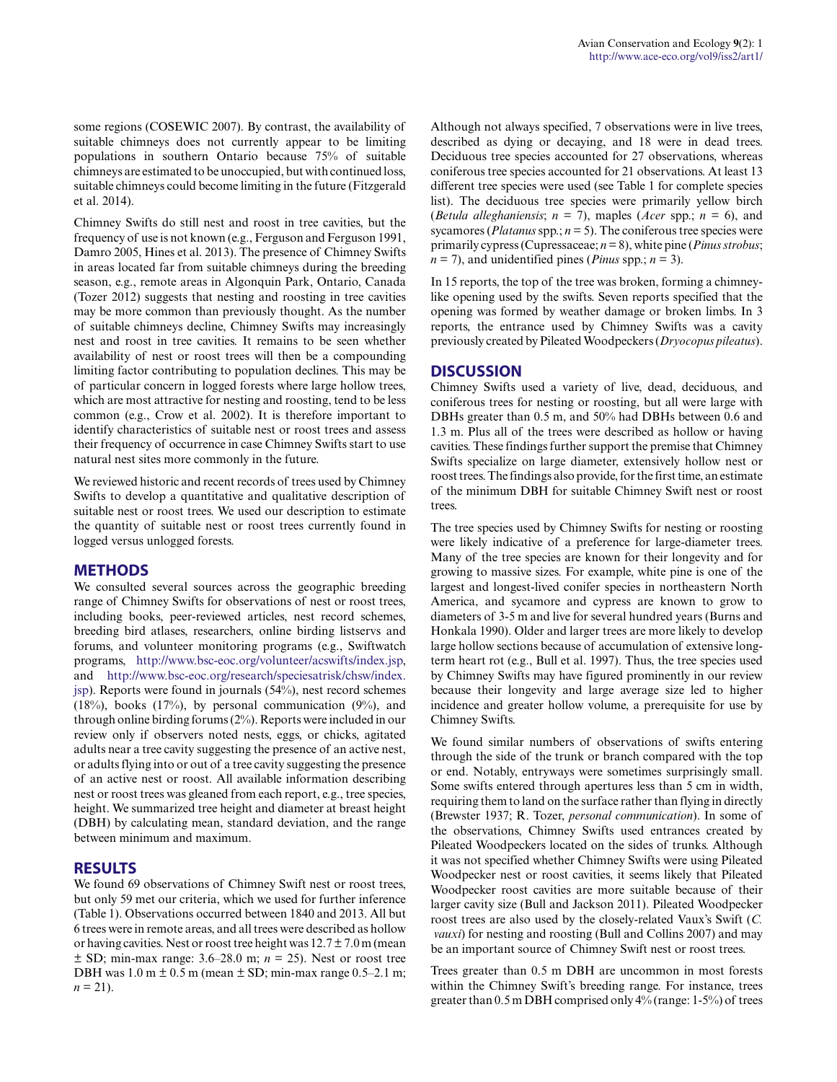some regions (COSEWIC 2007). By contrast, the availability of suitable chimneys does not currently appear to be limiting populations in southern Ontario because 75% of suitable chimneys are estimated to be unoccupied, but with continued loss, suitable chimneys could become limiting in the future (Fitzgerald et al. 2014).

Chimney Swifts do still nest and roost in tree cavities, but the frequency of use is not known (e.g., Ferguson and Ferguson 1991, Damro 2005, Hines et al. 2013). The presence of Chimney Swifts in areas located far from suitable chimneys during the breeding season, e.g., remote areas in Algonquin Park, Ontario, Canada (Tozer 2012) suggests that nesting and roosting in tree cavities may be more common than previously thought. As the number of suitable chimneys decline, Chimney Swifts may increasingly nest and roost in tree cavities. It remains to be seen whether availability of nest or roost trees will then be a compounding limiting factor contributing to population declines. This may be of particular concern in logged forests where large hollow trees, which are most attractive for nesting and roosting, tend to be less common (e.g., Crow et al. 2002). It is therefore important to identify characteristics of suitable nest or roost trees and assess their frequency of occurrence in case Chimney Swifts start to use natural nest sites more commonly in the future.

We reviewed historic and recent records of trees used by Chimney Swifts to develop a quantitative and qualitative description of suitable nest or roost trees. We used our description to estimate the quantity of suitable nest or roost trees currently found in logged versus unlogged forests.

## **METHODS**

We consulted several sources across the geographic breeding range of Chimney Swifts for observations of nest or roost trees, including books, peer-reviewed articles, nest record schemes, breeding bird atlases, researchers, online birding listservs and forums, and volunteer monitoring programs (e.g., Swiftwatch programs, [http://www.bsc-eoc.org/volunteer/acswifts/index.jsp,](http://www.bsc-eoc.org/volunteer/acswifts/index.jsp) and [http://www.bsc-eoc.org/research/speciesatrisk/chsw/index.](http://www.bsc-eoc.org/research/speciesatrisk/chsw/index.jsp) [jsp\)](http://www.bsc-eoc.org/research/speciesatrisk/chsw/index.jsp). Reports were found in journals (54%), nest record schemes  $(18\%)$ , books  $(17\%)$ , by personal communication  $(9\%)$ , and through online birding forums (2%). Reports were included in our review only if observers noted nests, eggs, or chicks, agitated adults near a tree cavity suggesting the presence of an active nest, or adults flying into or out of a tree cavity suggesting the presence of an active nest or roost. All available information describing nest or roost trees was gleaned from each report, e.g., tree species, height. We summarized tree height and diameter at breast height (DBH) by calculating mean, standard deviation, and the range between minimum and maximum.

## **RESULTS**

We found 69 observations of Chimney Swift nest or roost trees, but only 59 met our criteria, which we used for further inference (Table 1). Observations occurred between 1840 and 2013. All but 6 trees were in remote areas, and all trees were described as hollow or having cavities. Nest or roost tree height was  $12.7 \pm 7.0$  m (mean ± SD; min-max range: 3.6–28.0 m; *n* = 25). Nest or roost tree DBH was  $1.0 \text{ m } \pm 0.5 \text{ m}$  (mean  $\pm$  SD; min-max range 0.5–2.1 m;  $n = 21$ .

Although not always specified, 7 observations were in live trees, described as dying or decaying, and 18 were in dead trees. Deciduous tree species accounted for 27 observations, whereas coniferous tree species accounted for 21 observations. At least 13 different tree species were used (see Table 1 for complete species list). The deciduous tree species were primarily yellow birch (*Betula alleghaniensis*;  $n = 7$ ), maples (*Acer spp.*;  $n = 6$ ), and sycamores (*Platanus* spp.;  $n = 5$ ). The coniferous tree species were primarily cypress (Cupressaceae; *n* = 8), white pine (*Pinus strobus*;  $n = 7$ ), and unidentified pines (*Pinus* spp.;  $n = 3$ ).

In 15 reports, the top of the tree was broken, forming a chimneylike opening used by the swifts. Seven reports specified that the opening was formed by weather damage or broken limbs. In 3 reports, the entrance used by Chimney Swifts was a cavity previously created by Pileated Woodpeckers (*Dryocopus pileatus*).

## **DISCUSSION**

Chimney Swifts used a variety of live, dead, deciduous, and coniferous trees for nesting or roosting, but all were large with DBHs greater than 0.5 m, and 50% had DBHs between 0.6 and 1.3 m. Plus all of the trees were described as hollow or having cavities. These findings further support the premise that Chimney Swifts specialize on large diameter, extensively hollow nest or roost trees. The findings also provide, for the first time, an estimate of the minimum DBH for suitable Chimney Swift nest or roost trees.

The tree species used by Chimney Swifts for nesting or roosting were likely indicative of a preference for large-diameter trees. Many of the tree species are known for their longevity and for growing to massive sizes. For example, white pine is one of the largest and longest-lived conifer species in northeastern North America, and sycamore and cypress are known to grow to diameters of 3-5 m and live for several hundred years (Burns and Honkala 1990). Older and larger trees are more likely to develop large hollow sections because of accumulation of extensive longterm heart rot (e.g., Bull et al. 1997). Thus, the tree species used by Chimney Swifts may have figured prominently in our review because their longevity and large average size led to higher incidence and greater hollow volume, a prerequisite for use by Chimney Swifts.

We found similar numbers of observations of swifts entering through the side of the trunk or branch compared with the top or end. Notably, entryways were sometimes surprisingly small. Some swifts entered through apertures less than 5 cm in width, requiring them to land on the surface rather than flying in directly (Brewster 1937; R. Tozer, *personal communication*). In some of the observations, Chimney Swifts used entrances created by Pileated Woodpeckers located on the sides of trunks. Although it was not specified whether Chimney Swifts were using Pileated Woodpecker nest or roost cavities, it seems likely that Pileated Woodpecker roost cavities are more suitable because of their larger cavity size (Bull and Jackson 2011). Pileated Woodpecker roost trees are also used by the closely-related Vaux's Swift (*C. vauxi*) for nesting and roosting (Bull and Collins 2007) and may be an important source of Chimney Swift nest or roost trees.

Trees greater than 0.5 m DBH are uncommon in most forests within the Chimney Swift's breeding range. For instance, trees greater than 0.5 m DBH comprised only 4% (range: 1-5%) of trees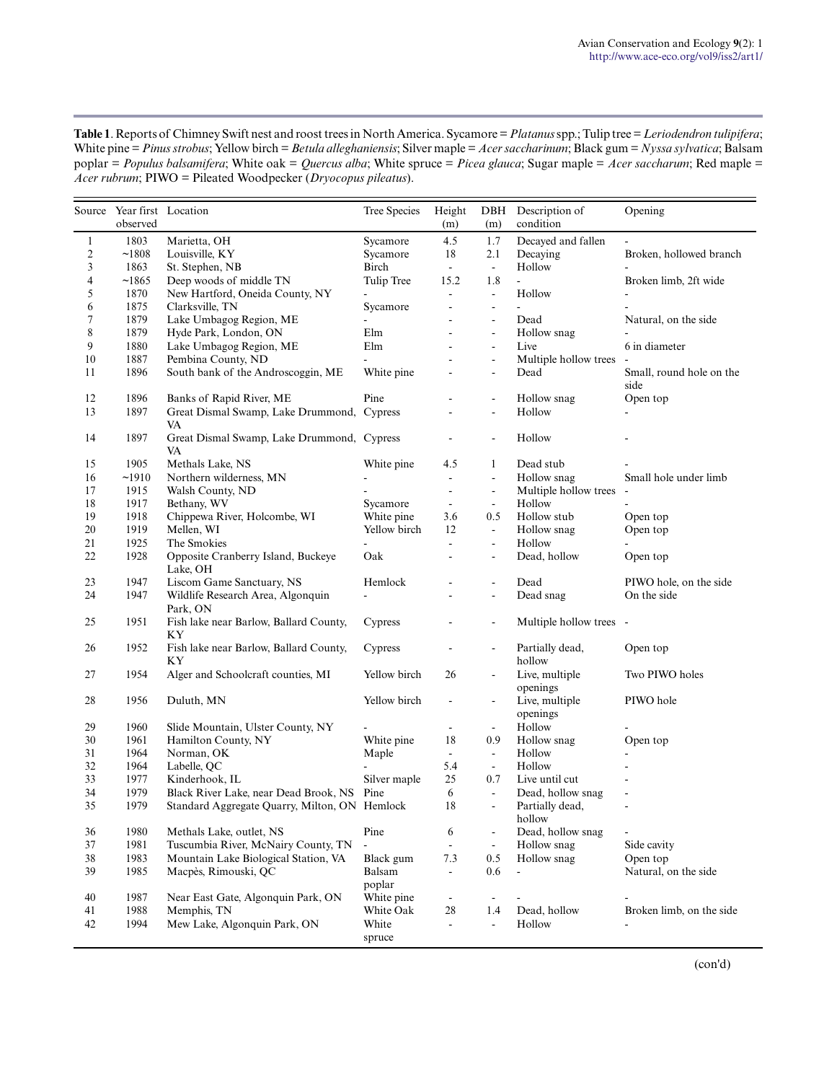| <b>Table 1.</b> Reports of Chimney Swift nest and roost trees in North America. Sycamore = Platanus spp.; Tulip tree = Leriodendron tulipifera; |
|-------------------------------------------------------------------------------------------------------------------------------------------------|
| White pine = Pinus strobus; Yellow birch = Betula alleghaniensis; Silver maple = Acer saccharinum; Black gum = Nyssa sylvatica; Balsam          |
| poplar = Populus balsamifera; White oak = Quercus alba; White spruce = Picea glauca; Sugar maple = Acer saccharum; Red maple =                  |
| <i>Acer rubrum</i> ; PIWO = Pileated Woodpecker ( <i>Dryocopus pileatus</i> ).                                                                  |

|              | Source Year first Location |                                                   | Tree Species             | Height                   | DBH                      | Description of             | Opening                      |
|--------------|----------------------------|---------------------------------------------------|--------------------------|--------------------------|--------------------------|----------------------------|------------------------------|
|              | observed                   |                                                   |                          | (m)                      | (m)                      | condition                  |                              |
| $\mathbf{1}$ | 1803                       | Marietta, OH                                      | Sycamore                 | 4.5                      | 1.7                      | Decayed and fallen         |                              |
| $\sqrt{2}$   | ~1808                      | Louisville, KY                                    | Sycamore                 | 18                       | 2.1                      | Decaying                   | Broken, hollowed branch      |
| 3            | 1863                       | St. Stephen, NB                                   | Birch                    | $\omega$                 | $\mathbb{Z}^2$           | Hollow                     |                              |
| 4            | ~1865                      | Deep woods of middle TN                           | Tulip Tree               | 15.2                     | 1.8                      | $\overline{a}$             | Broken limb, 2ft wide        |
| 5            | 1870                       | New Hartford, Oneida County, NY                   | ÷,                       | $\overline{a}$           | $\Box$                   | Hollow                     |                              |
| 6            | 1875                       | Clarksville, TN                                   | Sycamore                 | $\overline{\phantom{a}}$ | $\blacksquare$           |                            |                              |
| 7            | 1879                       | Lake Umbagog Region, ME                           | ä,                       |                          | $\overline{\phantom{a}}$ | Dead                       | Natural, on the side         |
| 8            | 1879                       | Hyde Park, London, ON                             | Elm                      | ÷,                       | $\overline{\phantom{a}}$ | Hollow snag                |                              |
| 9            | 1880                       | Lake Umbagog Region, ME                           | Elm                      |                          | $\overline{\phantom{0}}$ | Live                       | 6 in diameter                |
| 10           | 1887                       | Pembina County, ND                                |                          |                          | $\overline{\phantom{a}}$ | Multiple hollow trees      |                              |
| 11           | 1896                       | South bank of the Androscoggin, ME                | White pine               |                          | $\overline{\phantom{0}}$ | Dead                       | Small, round hole on the     |
| 12           | 1896                       | Banks of Rapid River, ME                          | Pine                     | $\overline{\phantom{a}}$ | $\overline{\phantom{a}}$ | Hollow snag                | side<br>Open top             |
| 13           | 1897                       | Great Dismal Swamp, Lake Drummond, Cypress        |                          |                          |                          | Hollow                     |                              |
|              |                            | VA                                                |                          |                          |                          |                            |                              |
| 14           | 1897                       | Great Dismal Swamp, Lake Drummond, Cypress<br>VA  |                          | $\overline{\phantom{a}}$ | $\overline{\phantom{0}}$ | Hollow                     |                              |
| 15           | 1905                       | Methals Lake, NS                                  | White pine               | 4.5                      | 1                        | Dead stub                  |                              |
| 16           | ~1910                      | Northern wilderness, MN                           | ä,                       | $\blacksquare$           | $\blacksquare$           | Hollow snag                | Small hole under limb        |
| 17           | 1915                       | Walsh County, ND                                  |                          | $\overline{\phantom{a}}$ | $\blacksquare$           | Multiple hollow trees      |                              |
| 18           | 1917                       | Bethany, WV                                       | Sycamore                 | $\blacksquare$           | $\blacksquare$           | Hollow                     |                              |
| 19           | 1918                       | Chippewa River, Holcombe, WI                      | White pine               | 3.6                      | 0.5                      | Hollow stub                | Open top                     |
| 20           | 1919                       | Mellen, WI                                        | Yellow birch             | 12                       | $\blacksquare$           | Hollow snag                | Open top                     |
| 21           | 1925                       | The Smokies                                       | $\overline{\phantom{0}}$ | $\overline{\phantom{a}}$ | $\overline{\phantom{a}}$ | Hollow                     |                              |
| 22           | 1928                       | Opposite Cranberry Island, Buckeye<br>Lake, OH    | Oak                      | ä,                       | $\blacksquare$           | Dead, hollow               | Open top                     |
| 23           | 1947                       | Liscom Game Sanctuary, NS                         | Hemlock                  |                          | $\overline{\phantom{a}}$ | Dead                       | PIWO hole, on the side       |
| 24           | 1947                       | Wildlife Research Area, Algonquin<br>Park, ON     | ÷,                       | ÷.                       | $\blacksquare$           | Dead snag                  | On the side                  |
| 25           | 1951                       | Fish lake near Barlow, Ballard County,<br>ΚY      | Cypress                  |                          | $\overline{\phantom{a}}$ | Multiple hollow trees      |                              |
| 26           | 1952                       | Fish lake near Barlow, Ballard County,<br>ΚY      | Cypress                  | $\blacksquare$           | $\mathbf{r}$             | Partially dead,<br>hollow  | Open top                     |
| 27           | 1954                       | Alger and Schoolcraft counties, MI                | Yellow birch             | 26                       | $\overline{\phantom{a}}$ | Live, multiple<br>openings | Two PIWO holes               |
| 28           | 1956                       | Duluth, MN                                        | Yellow birch             | $\blacksquare$           | $\overline{\phantom{a}}$ | Live, multiple             | PIWO hole                    |
|              |                            |                                                   |                          |                          |                          | openings                   |                              |
| 29           | 1960                       | Slide Mountain, Ulster County, NY                 |                          | $\blacksquare$           | $\blacksquare$           | Hollow                     |                              |
| 30           | 1961                       | Hamilton County, NY                               | White pine               | 18                       | 0.9                      | Hollow snag                | Open top                     |
| 31           | 1964                       | Norman, OK                                        | Maple                    | $\blacksquare$           | $\blacksquare$           | Hollow                     |                              |
| 32           | 1964                       | Labelle, QC                                       |                          | 5.4                      | $\blacksquare$           | Hollow                     |                              |
| 33           | 1977                       | Kinderhook, IL                                    | Silver maple             | 25                       | 0.7                      | Live until cut             |                              |
| 34           | 1979                       | Black River Lake, near Dead Brook, NS Pine        |                          | 6                        | $\blacksquare$           | Dead, hollow snag          |                              |
| 35           | 1979                       | Standard Aggregate Quarry, Milton, ON Hemlock     |                          | 18                       | $\overline{\phantom{a}}$ | Partially dead,<br>hollow  |                              |
| 36           | 1980                       | Methals Lake, outlet, NS                          | Pine                     | 6                        | $\overline{\phantom{0}}$ | Dead, hollow snag          |                              |
| 37           | 1981                       | Tuscumbia River, McNairy County, TN               |                          | ä,                       | $\blacksquare$           | Hollow snag                | Side cavity                  |
| 38           | 1983                       | Mountain Lake Biological Station, VA              | Black gum                | 7.3                      | 0.5                      | Hollow snag                | Open top                     |
| 39           | 1985                       | Macpès, Rimouski, QC                              | Balsam                   | $\blacksquare$           | 0.6                      | $\blacksquare$             | Natural, on the side         |
|              |                            |                                                   | poplar                   |                          |                          |                            |                              |
| 40           | 1987                       | Near East Gate, Algonquin Park, ON<br>Memphis, TN | White pine<br>White Oak  | $\blacksquare$           | $\overline{\phantom{a}}$ |                            | Broken limb, on the side     |
| 41           | 1988                       |                                                   |                          | $28\,$                   | 1.4                      | Dead, hollow               |                              |
| 42           | 1994                       | Mew Lake, Algonquin Park, ON                      | White<br>spruce          | $\blacksquare$           | $\blacksquare$           | Hollow                     | $\qquad \qquad \blacksquare$ |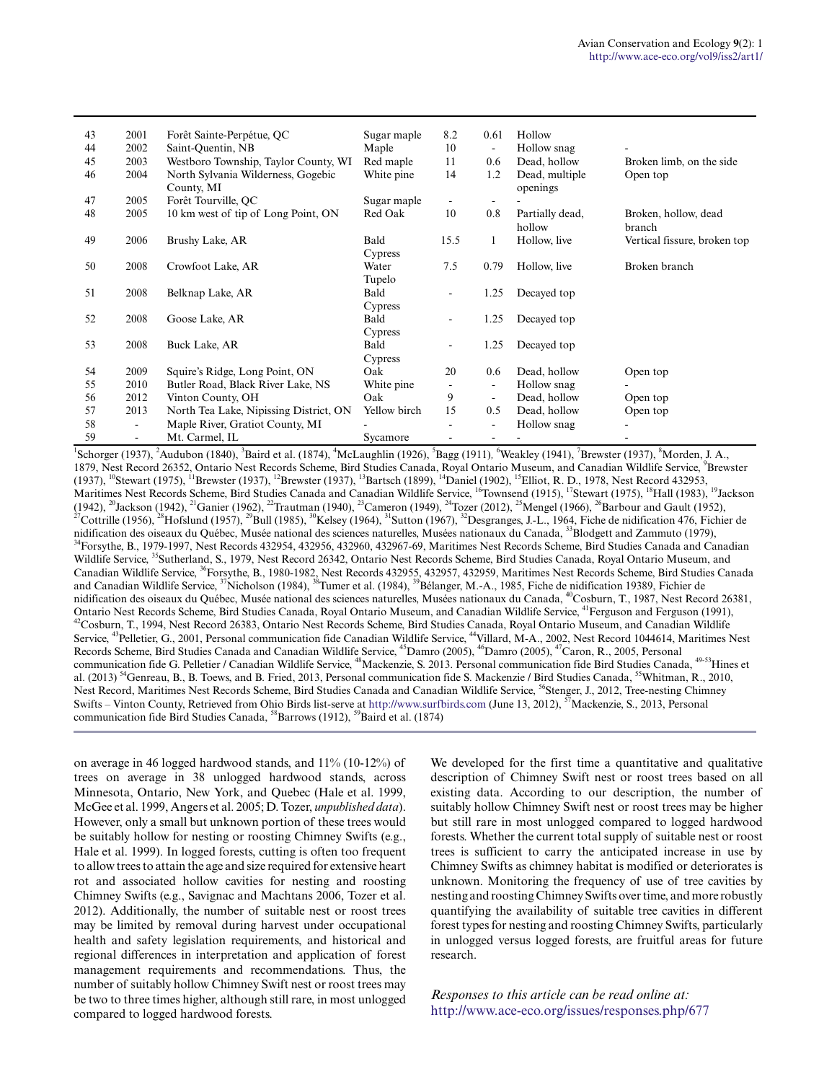| 43 | 2001                     | Forêt Sainte-Perpétue, QC                        | Sugar maple     | 8.2                      | 0.61                     | Hollow                     |                                |
|----|--------------------------|--------------------------------------------------|-----------------|--------------------------|--------------------------|----------------------------|--------------------------------|
| 44 | 2002                     | Saint-Ouentin, NB                                | Maple           | 10                       | $\overline{\phantom{a}}$ | Hollow snag                |                                |
| 45 | 2003                     | Westboro Township, Taylor County, WI             | Red maple       | 11                       | 0.6                      | Dead, hollow               | Broken limb, on the side       |
| 46 | 2004                     | North Sylvania Wilderness, Gogebic<br>County, MI | White pine      | 14                       | 1.2                      | Dead, multiple<br>openings | Open top                       |
| 47 | 2005                     | Forêt Tourville, QC                              | Sugar maple     | $\sim$                   |                          |                            |                                |
| 48 | 2005                     | 10 km west of tip of Long Point, ON              | Red Oak         | 10                       | 0.8                      | Partially dead,<br>hollow  | Broken, hollow, dead<br>branch |
| 49 | 2006                     | Brushy Lake, AR                                  | Bald<br>Cypress | 15.5                     | 1                        | Hollow, live               | Vertical fissure, broken top   |
| 50 | 2008                     | Crowfoot Lake, AR                                | Water<br>Tupelo | 7.5                      | 0.79                     | Hollow, live               | Broken branch                  |
| 51 | 2008                     | Belknap Lake, AR                                 | Bald            |                          | 1.25                     | Decayed top                |                                |
|    |                          |                                                  | Cypress         |                          |                          |                            |                                |
| 52 | 2008                     | Goose Lake, AR                                   | Bald            |                          | 1.25                     | Decayed top                |                                |
|    |                          |                                                  | <b>Cypress</b>  |                          |                          |                            |                                |
| 53 | 2008                     | Buck Lake, AR                                    | Bald            |                          | 1.25                     | Decayed top                |                                |
|    |                          |                                                  | Cypress         |                          |                          |                            |                                |
| 54 | 2009                     | Squire's Ridge, Long Point, ON                   | Oak             | 20                       | 0.6                      | Dead, hollow               | Open top                       |
| 55 | 2010                     | Butler Road, Black River Lake, NS                | White pine      | $\overline{\phantom{a}}$ | $\overline{\phantom{a}}$ | Hollow snag                |                                |
| 56 | 2012                     | Vinton County, OH                                | Oak             | 9                        | $\sim$                   | Dead, hollow               | Open top                       |
| 57 | 2013                     | North Tea Lake, Nipissing District, ON           | Yellow birch    | 15                       | 0.5                      | Dead, hollow               | Open top                       |
| 58 | $\blacksquare$           | Maple River, Gratiot County, MI                  |                 | ٠                        | $\sim$                   | Hollow snag                |                                |
| 59 | $\overline{\phantom{a}}$ | Mt. Carmel, IL                                   | Sycamore        | ٠                        | ٠                        |                            |                                |

<sup>1</sup>Schorger (1937), <sup>2</sup>Audubon (1840), <sup>3</sup>Baird et al. (1874), <sup>4</sup>McLaughlin (1926), <sup>5</sup>Bagg (1911), <sup>6</sup>Weakley (1941), <sup>7</sup>Brewster (1937), <sup>8</sup>Morden, J. A., 1879, Nest Record 26352, Ontario Nest Records Scheme, Bird Studies Canada, Royal Ontario Museum, and Canadian Wildlife Service, <sup>9</sup>Brewster (1937), <sup>10</sup>Stewart (1975), <sup>11</sup>Brewster (1937), <sup>12</sup>Brewster (1937), <sup>13</sup>Bartsch (1899), <sup>14</sup>Daniel (1902), <sup>15</sup>Elliot, R. D., 1978, Nest Record 432953, Maritimes Nest Records Scheme, Bird Studies Canada and Canadian Wildlife Service, <sup>16</sup>Townsend (1915), <sup>17</sup>Stewart (1975), <sup>18</sup>Hall (1983), <sup>19</sup>Jackson (1942), <sup>20</sup>Jackson (1942), <sup>21</sup>Ganier (1962), <sup>22</sup>Trautman (1940), <sup>23</sup>Cameron (1949), <sup>24</sup>Tozer (2012), <sup>25</sup>Mengel (1966), <sup>26</sup>Barbour and Gault (1952), <sup>27</sup>Cottrille (1956), <sup>28</sup>Hofslund (1957), <sup>29</sup>Bull (1985), <sup>30</sup>Kelsey (1964), <sup>31</sup>Sutton (1967), <sup>32</sup>Desgranges, J.-L., 1964, Fiche de nidification 476, Fichier de nidification des oiseaux du Québec, Musée national des sciences naturelles, Musées nationaux du Canada, <sup>33</sup>Blodgett and Zammuto (1979), <sup>34</sup>Forsythe, B., 1979-1997, Nest Records 432954, 432956, 432960, 432967-69, Maritimes Nest Records Scheme, Bird Studies Canada and Canadian Wildlife Service, <sup>35</sup>Sutherland, S., 1979, Nest Record 26342, Ontario Nest Records Scheme, Bird Studies Canada, Royal Ontario Museum, and Canadian Wildlife Service, <sup>36</sup>Forsythe, B., 1980-1982, Nest Records 432955, 432957, 432959, Maritimes Nest Records Scheme, Bird Studies Canada and Canadian Wildlife Service, <sup>37</sup>Nicholson (1984), <sup>38</sup>Tumer et al. (1984), <sup>39</sup>Bélanger, M.-A., 1985, Fiche de nidification 19389, Fichier de nidification des oiseaux du Québec, Musée national des sciences naturelles, Musées nationaux du Canada, <sup>40</sup>Cosburn, T., 1987, Nest Record 26381, Ontario Nest Records Scheme, Bird Studies Canada, Royal Ontario Museum, and Canadian Wildlife Service, <sup>41</sup>Ferguson and Ferguson (1991),  $^{42}$ Cosburn, T., 1994, Nest Record 26383, Ontario Nest Records Scheme, Bird Studies Canada, Royal Ontario Museum, and Canadian Wildlife Service, <sup>43</sup>Pelletier, G., 2001, Personal communication fide Canadian Wildlife Service, <sup>44</sup>Villard, M-A., 2002, Nest Record 1044614, Maritimes Nest Records Scheme, Bird Studies Canada and Canadian Wildlife Service, <sup>45</sup>Damro (2005), <sup>46</sup>Damro (2005), <sup>47</sup>Caron, R., 2005, Personal communication fide G. Pelletier / Canadian Wildlife Service, <sup>48</sup>Mackenzie, S. 2013. Personal communication fide Bird Studies Canada, <sup>49-53</sup>Hines et al. (2013)<sup>54</sup>Genreau, B., B. Toews, and B. Fried, 2013, Personal communication fide S. Mackenzie / Bird Studies Canada, <sup>55</sup>Whitman, R., 2010, Nest Record, Maritimes Nest Records Scheme, Bird Studies Canada and Canadian Wildlife Service, <sup>56</sup>Stenger, J., 2012, Tree-nesting Chimney Swifts – Vinton County, Retrieved from Ohio Birds list-serve at <http://www.surfbirds.com>(June 13, 2012), <sup>57</sup>Mackenzie, S., 2013, Personal communication fide Bird Studies Canada,  $^{58}$ Barrows (1912),  $^{59}$ Baird et al. (1874)

on average in 46 logged hardwood stands, and 11% (10-12%) of trees on average in 38 unlogged hardwood stands, across Minnesota, Ontario, New York, and Quebec (Hale et al. 1999, McGee et al. 1999, Angers et al. 2005; D. Tozer, *unpublished data*). However, only a small but unknown portion of these trees would be suitably hollow for nesting or roosting Chimney Swifts (e.g., Hale et al. 1999). In logged forests, cutting is often too frequent to allow trees to attain the age and size required for extensive heart rot and associated hollow cavities for nesting and roosting Chimney Swifts (e.g., Savignac and Machtans 2006, Tozer et al. 2012). Additionally, the number of suitable nest or roost trees may be limited by removal during harvest under occupational health and safety legislation requirements, and historical and regional differences in interpretation and application of forest management requirements and recommendations. Thus, the number of suitably hollow Chimney Swift nest or roost trees may be two to three times higher, although still rare, in most unlogged compared to logged hardwood forests.

We developed for the first time a quantitative and qualitative description of Chimney Swift nest or roost trees based on all existing data. According to our description, the number of suitably hollow Chimney Swift nest or roost trees may be higher but still rare in most unlogged compared to logged hardwood forests. Whether the current total supply of suitable nest or roost trees is sufficient to carry the anticipated increase in use by Chimney Swifts as chimney habitat is modified or deteriorates is unknown. Monitoring the frequency of use of tree cavities by nesting and roosting Chimney Swifts over time, and more robustly quantifying the availability of suitable tree cavities in different forest types for nesting and roosting Chimney Swifts, particularly in unlogged versus logged forests, are fruitful areas for future research.

*Responses to this article can be read online at:* <http://www.ace-eco.org/issues/responses.php/677>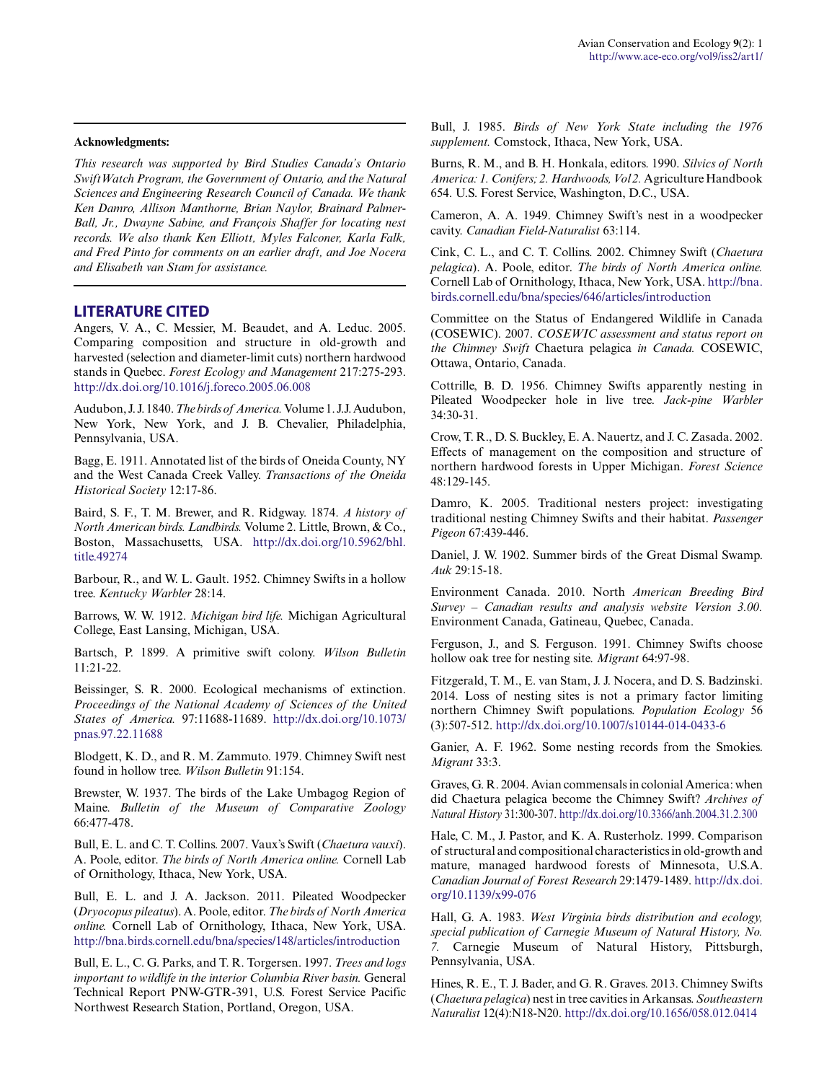#### **Acknowledgments:**

*This research was supported by Bird Studies Canada's Ontario SwiftWatch Program, the Government of Ontario, and the Natural Sciences and Engineering Research Council of Canada. We thank Ken Damro, Allison Manthorne, Brian Naylor, Brainard Palmer-Ball, Jr., Dwayne Sabine, and François Shaffer for locating nest records. We also thank Ken Elliott, Myles Falconer, Karla Falk, and Fred Pinto for comments on an earlier draft, and Joe Nocera and Elisabeth van Stam for assistance.*

#### **LITERATURE CITED**

Angers, V. A., C. Messier, M. Beaudet, and A. Leduc. 2005. Comparing composition and structure in old-growth and harvested (selection and diameter-limit cuts) northern hardwood stands in Quebec. *Forest Ecology and Management* 217:275-293. [http://dx.doi.org/10.1016/j.foreco.2005.06.008](http://dx.doi.org/10.1016%2Fj.foreco.2005.06.008)

Audubon, J. J. 1840. *The birds of America.* Volume 1. J.J. Audubon, New York, New York, and J. B. Chevalier, Philadelphia, Pennsylvania, USA.

Bagg, E. 1911. Annotated list of the birds of Oneida County, NY and the West Canada Creek Valley. *Transactions of the Oneida Historical Society* 12:17-86.

Baird, S. F., T. M. Brewer, and R. Ridgway. 1874. *A history of North American birds. Landbirds.* Volume 2. Little, Brown, & Co., Boston, Massachusetts, USA. [http://dx.doi.org/10.5962/bhl.](http://dx.doi.org/10.5962%2Fbhl.title.49274) [title.49274](http://dx.doi.org/10.5962%2Fbhl.title.49274)

Barbour, R., and W. L. Gault. 1952. Chimney Swifts in a hollow tree. *Kentucky Warbler* 28:14.

Barrows, W. W. 1912. *Michigan bird life.* Michigan Agricultural College, East Lansing, Michigan, USA.

Bartsch, P. 1899. A primitive swift colony. *Wilson Bulletin* 11:21-22.

Beissinger, S. R. 2000. Ecological mechanisms of extinction. *Proceedings of the National Academy of Sciences of the United States of America.* 97:11688-11689. [http://dx.doi.org/10.1073/](http://dx.doi.org/10.1073%2Fpnas.97.22.11688) [pnas.97.22.11688](http://dx.doi.org/10.1073%2Fpnas.97.22.11688)

Blodgett, K. D., and R. M. Zammuto. 1979. Chimney Swift nest found in hollow tree. *Wilson Bulletin* 91:154.

Brewster, W. 1937. The birds of the Lake Umbagog Region of Maine. *Bulletin of the Museum of Comparative Zoology* 66:477-478.

Bull, E. L. and C. T. Collins. 2007. Vaux's Swift (*Chaetura vauxi*). A. Poole, editor. *The birds of North America online.* Cornell Lab of Ornithology, Ithaca, New York, USA.

Bull, E. L. and J. A. Jackson. 2011. Pileated Woodpecker (*Dryocopus pileatus*). A. Poole, editor. *The birds of North America online.* Cornell Lab of Ornithology, Ithaca, New York, USA. <http://bna.birds.cornell.edu/bna/species/148/articles/introduction>

Bull, E. L., C. G. Parks, and T. R. Torgersen. 1997. *Trees and logs important to wildlife in the interior Columbia River basin.* General Technical Report PNW-GTR-391, U.S. Forest Service Pacific Northwest Research Station, Portland, Oregon, USA.

Bull, J. 1985. *Birds of New York State including the 1976 supplement.* Comstock, Ithaca, New York, USA.

Burns, R. M., and B. H. Honkala, editors. 1990. *Silvics of North America: 1. Conifers; 2. Hardwoods, Vol 2.* Agriculture Handbook 654. U.S. Forest Service, Washington, D.C., USA.

Cameron, A. A. 1949. Chimney Swift's nest in a woodpecker cavity. *Canadian Field-Naturalist* 63:114.

Cink, C. L., and C. T. Collins. 2002. Chimney Swift (*Chaetura pelagica*). A. Poole, editor. *The birds of North America online.* Cornell Lab of Ornithology, Ithaca, New York, USA. [http://bna.](http://bna.birds.cornell.edu/bna/species/646/articles/introduction) [birds.cornell.edu/bna/species/646/articles/introduction](http://bna.birds.cornell.edu/bna/species/646/articles/introduction)

Committee on the Status of Endangered Wildlife in Canada (COSEWIC). 2007. *COSEWIC assessment and status report on the Chimney Swift* Chaetura pelagica *in Canada.* COSEWIC, Ottawa, Ontario, Canada.

Cottrille, B. D. 1956. Chimney Swifts apparently nesting in Pileated Woodpecker hole in live tree. *Jack-pine Warbler* 34:30-31.

Crow, T. R., D. S. Buckley, E. A. Nauertz, and J. C. Zasada. 2002. Effects of management on the composition and structure of northern hardwood forests in Upper Michigan. *Forest Science* 48:129-145.

Damro, K. 2005. Traditional nesters project: investigating traditional nesting Chimney Swifts and their habitat. *Passenger Pigeon* 67:439-446.

Daniel, J. W. 1902. Summer birds of the Great Dismal Swamp. *Auk* 29:15-18.

Environment Canada. 2010. North *American Breeding Bird Survey – Canadian results and analysis website Version 3.00.* Environment Canada, Gatineau, Quebec, Canada.

Ferguson, J., and S. Ferguson. 1991. Chimney Swifts choose hollow oak tree for nesting site. *Migrant* 64:97-98.

Fitzgerald, T. M., E. van Stam, J. J. Nocera, and D. S. Badzinski. 2014. Loss of nesting sites is not a primary factor limiting northern Chimney Swift populations. *Population Ecology* 56 (3):507-512. [http://dx.doi.org/10.1007/s10144-014-0433-6](http://dx.doi.org/10.1007%2Fs10144-014-0433-6) 

Ganier, A. F. 1962. Some nesting records from the Smokies. *Migrant* 33:3.

Graves, G. R. 2004. Avian commensals in colonial America: when did Chaetura pelagica become the Chimney Swift? *Archives of Natural History* 31:300-307. [http://dx.doi.org/10.3366/anh.2004.31.2.300](http://dx.doi.org/10.3366%2Fanh.2004.31.2.300)

Hale, C. M., J. Pastor, and K. A. Rusterholz. 1999. Comparison of structural and compositional characteristics in old-growth and mature, managed hardwood forests of Minnesota, U.S.A. *Canadian Journal of Forest Research* 29:1479-1489. [http://dx.doi.](http://dx.doi.org/10.1139%2Fx99-076) [org/10.1139/x99-076](http://dx.doi.org/10.1139%2Fx99-076)

Hall, G. A. 1983. *West Virginia birds distribution and ecology, special publication of Carnegie Museum of Natural History, No. 7.* Carnegie Museum of Natural History, Pittsburgh, Pennsylvania, USA.

Hines, R. E., T. J. Bader, and G. R. Graves. 2013. Chimney Swifts (*Chaetura pelagica*) nest in tree cavities in Arkansas. *Southeastern Naturalist* 12(4):N18-N20. [http://dx.doi.org/10.1656/058.012.0414](http://dx.doi.org/10.1656%2F058.012.0414)